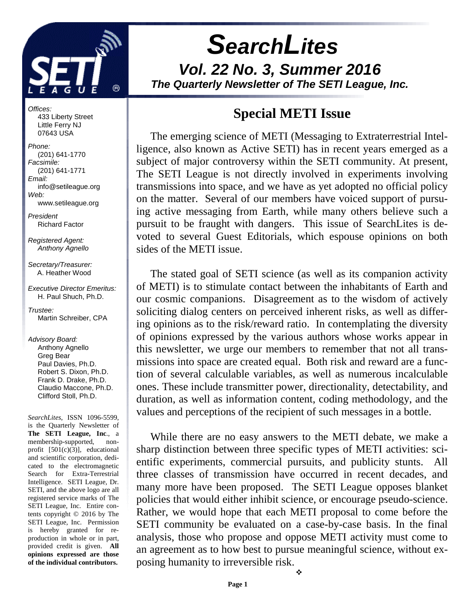

# **SearchLites Vol. 22 No. 3, Summer 2016 The Quarterly Newsletter of The SETI League, Inc.**

# **Special METI Issue**

The emerging science of METI (Messaging to Extraterrestrial Intelligence, also known as Active SETI) has in recent years emerged as a subject of major controversy within the SETI community. At present, The SETI League is not directly involved in experiments involving transmissions into space, and we have as yet adopted no official policy on the matter. Several of our members have voiced support of pursuing active messaging from Earth, while many others believe such a pursuit to be fraught with dangers. This issue of SearchLites is devoted to several Guest Editorials, which espouse opinions on both sides of the METI issue.

The stated goal of SETI science (as well as its companion activity of METI) is to stimulate contact between the inhabitants of Earth and our cosmic companions. Disagreement as to the wisdom of actively soliciting dialog centers on perceived inherent risks, as well as differing opinions as to the risk/reward ratio. In contemplating the diversity of opinions expressed by the various authors whose works appear in this newsletter, we urge our members to remember that not all transmissions into space are created equal. Both risk and reward are a function of several calculable variables, as well as numerous incalculable ones. These include transmitter power, directionality, detectability, and duration, as well as information content, coding methodology, and the values and perceptions of the recipient of such messages in a bottle.

While there are no easy answers to the METI debate, we make a sharp distinction between three specific types of METI activities: scientific experiments, commercial pursuits, and publicity stunts. All three classes of transmission have occurred in recent decades, and many more have been proposed. The SETI League opposes blanket policies that would either inhibit science, or encourage pseudo-science. Rather, we would hope that each METI proposal to come before the SETI community be evaluated on a case-by-case basis. In the final analysis, those who propose and oppose METI activity must come to an agreement as to how best to pursue meaningful science, without exposing humanity to irreversible risk.

٠

Offices: 433 Liberty Street Little Ferry NJ 07643 USA

Phone: (201) 641-1770 Facsimile: (201) 641-1771 Email: info@setileague.org Web: www.setileague.org

President Richard Factor

Registered Agent: Anthony Agnello

Secretary/Treasurer: A. Heather Wood

Executive Director Emeritus: H. Paul Shuch, Ph.D.

Trustee: Martin Schreiber, CPA

#### Advisory Board: Anthony Agnello Greg Bear Paul Davies, Ph.D. Robert S. Dixon, Ph.D. Frank D. Drake, Ph.D. Claudio Maccone, Ph.D. Clifford Stoll, Ph.D.

*SearchLites*, ISSN 1096-5599, is the Quarterly Newsletter of **The SETI League, Inc**., a membership-supported, nonprofit [501(c)(3)], educational and scientific corporation, dedicated to the electromagnetic Search for Extra-Terrestrial Intelligence. SETI League, Dr. SETI, and the above logo are all registered service marks of The SETI League, Inc. Entire contents copyright © 2016 by The SETI League, Inc. Permission is hereby granted for reproduction in whole or in part, provided credit is given. **All opinions expressed are those of the individual contributors.**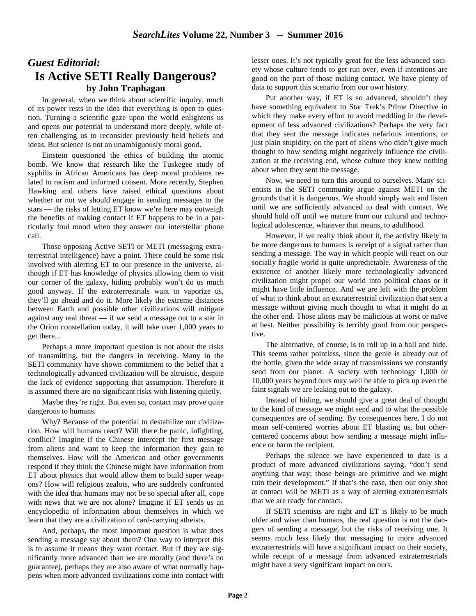## *Guest Editorial:*  **Is Active SETI Really Dangerous? by John Traphagan**

In general, when we think about scientific inquiry, much of its power rests in the idea that everything is open to question. Turning a scientific gaze upon the world enlightens us and opens our potential to understand more deeply, while often challenging us to reconsider previously held beliefs and ideas. But science is not an unambiguously moral good.

Einstein questioned the ethics of building the atomic bomb. We know that research like the Tuskegee study of syphilis in African Americans has deep moral problems related to racism and informed consent. More recently, Stephen Hawking and others have raised ethical questions about whether or not we should engage in sending messages to the stars — the risks of letting ET know we're here may outweigh the benefits of making contact if ET happens to be in a particularly foul mood when they answer our interstellar phone call.

Those opposing Active SETI or METI (messaging extraterrestrial intelligence) have a point. There could be some risk involved with alerting ET to our presence in the universe, although if ET has knowledge of physics allowing them to visit our corner of the galaxy, hiding probably won't do us much good anyway. If the extraterrestrials want to vaporize us, they'll go ahead and do it. More likely the extreme distances between Earth and possible other civilizations will mitigate against any real threat — if we send a message out to a star in the Orion constellation today, it will take over 1,000 years to get there...

Perhaps a more important question is not about the risks of transmitting, but the dangers in receiving. Many in the SETI community have shown commitment to the belief that a technologically advanced civilization will be altruistic, despite the lack of evidence supporting that assumption. Therefore it is assumed there are no significant risks with listening quietly.

Maybe they're right. But even so, contact may prove quite dangerous to humans.

Why? Because of the potential to destabilize our civilization. How will humans react? Will there be panic, infighting, conflict? Imagine if the Chinese intercept the first message from aliens and want to keep the information they gain to themselves. How will the American and other governments respond if they think the Chinese might have information from ET about physics that would allow them to build super weapons? How will religious zealots, who are suddenly confronted with the idea that humans may not be so special after all, cope with news that we are not alone? Imagine if ET sends us an encyclopedia of information about themselves in which we learn that they are a civilization of card-carrying atheists.

And, perhaps, the most important question is what does sending a message say about them? One way to interpret this is to assume it means they want contact. But if they are significantly more advanced than we are morally (and there's no guarantee), perhaps they are also aware of what normally happens when more advanced civilizations come into contact with lesser ones. It's not typically great for the less advanced society whose culture tends to get run over, even if intentions are good on the part of those making contact. We have plenty of data to support this scenario from our own history.

Put another way, if ET is so advanced, shouldn't they have something equivalent to Star Trek's Prime Directive in which they make every effort to avoid meddling in the development of less advanced civilizations? Perhaps the very fact that they sent the message indicates nefarious intentions, or just plain stupidity, on the part of aliens who didn't give much thought to how sending might negatively influence the civilization at the receiving end, whose culture they knew nothing about when they sent the message.

Now, we need to turn this around to ourselves. Many scientists in the SETI community argue against METI on the grounds that it is dangerous. We should simply wait and listen until we are sufficiently advanced to deal with contact. We should hold off until we mature from our cultural and technological adolescence, whatever that means, to adulthood.

However, if we really think about it, the activity likely to be more dangerous to humans is receipt of a signal rather than sending a message. The way in which people will react on our socially fragile world is quite unpredictable. Awareness of the existence of another likely more technologically advanced civilization might propel our world into political chaos or it might have little influence. And we are left with the problem of what to think about an extraterrestrial civilization that sent a message without giving much thought to what it might do at the other end. Those aliens may be malicious at worst or naïve at best. Neither possibility is terribly good from our perspective.

The alternative, of course, is to roll up in a ball and hide. This seems rather pointless, since the genie is already out of the bottle, given the wide array of transmissions we constantly send from our planet. A society with technology 1,000 or 10,000 years beyond ours may well be able to pick up even the faint signals we are leaking out to the galaxy.

Instead of hiding, we should give a great deal of thought to the kind of message we might send and to what the possible consequences are of sending. By consequences here, I do not mean self-centered worries about ET blasting us, but othercentered concerns about how sending a message might influence or harm the recipient.

Perhaps the silence we have experienced to date is a product of more advanced civilizations saying, "don't send anything that way; those beings are primitive and we might ruin their development." If that's the case, then our only shot at contact will be METI as a way of alerting extraterrestrials that we are ready for contact.

If SETI scientists are right and ET is likely to be much older and wiser than humans, the real question is not the dangers of sending a message, but the risks of receiving one. It seems much less likely that messaging to more advanced extraterrestrials will have a significant impact on their society, while receipt of a message from advanced extraterrestrials might have a very significant impact on ours.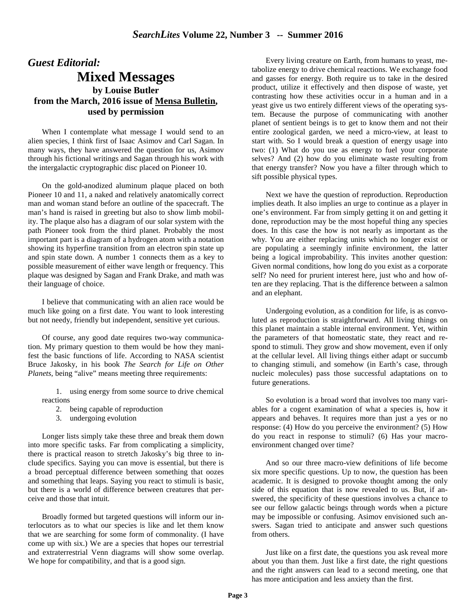## *Guest Editorial:*  **Mixed Messages by Louise Butler from the March, 2016 issue of Mensa Bulletin, used by permission**

When I contemplate what message I would send to an alien species, I think first of Isaac Asimov and Carl Sagan. In many ways, they have answered the question for us, Asimov through his fictional writings and Sagan through his work with the intergalactic cryptographic disc placed on Pioneer 10.

On the gold-anodized aluminum plaque placed on both Pioneer 10 and 11, a naked and relatively anatomically correct man and woman stand before an outline of the spacecraft. The man's hand is raised in greeting but also to show limb mobility. The plaque also has a diagram of our solar system with the path Pioneer took from the third planet. Probably the most important part is a diagram of a hydrogen atom with a notation showing its hyperfine transition from an electron spin state up and spin state down. A number 1 connects them as a key to possible measurement of either wave length or frequency. This plaque was designed by Sagan and Frank Drake, and math was their language of choice.

I believe that communicating with an alien race would be much like going on a first date. You want to look interesting but not needy, friendly but independent, sensitive yet curious.

Of course, any good date requires two-way communication. My primary question to them would be how they manifest the basic functions of life. According to NASA scientist Bruce Jakosky, in his book *The Search for Life on Other Planets*, being "alive" means meeting three requirements:

1. using energy from some source to drive chemical reactions

- 2. being capable of reproduction
- 3. undergoing evolution

Longer lists simply take these three and break them down into more specific tasks. Far from complicating a simplicity, there is practical reason to stretch Jakosky's big three to include specifics. Saying you can move is essential, but there is a broad perceptual difference between something that oozes and something that leaps. Saying you react to stimuli is basic, but there is a world of difference between creatures that perceive and those that intuit.

Broadly formed but targeted questions will inform our interlocutors as to what our species is like and let them know that we are searching for some form of commonality. (I have come up with six.) We are a species that hopes our terrestrial and extraterrestrial Venn diagrams will show some overlap. We hope for compatibility, and that is a good sign.

Every living creature on Earth, from humans to yeast, metabolize energy to drive chemical reactions. We exchange food and gasses for energy. Both require us to take in the desired product, utilize it effectively and then dispose of waste, yet contrasting how these activities occur in a human and in a yeast give us two entirely different views of the operating system. Because the purpose of communicating with another planet of sentient beings is to get to know them and not their entire zoological garden, we need a micro-view, at least to start with. So I would break a question of energy usage into two: (1) What do you use as energy to fuel your corporate selves? And (2) how do you eliminate waste resulting from that energy transfer? Now you have a filter through which to sift possible physical types.

Next we have the question of reproduction. Reproduction implies death. It also implies an urge to continue as a player in one's environment. Far from simply getting it on and getting it done, reproduction may be the most hopeful thing any species does. In this case the how is not nearly as important as the why. You are either replacing units which no longer exist or are populating a seemingly infinite environment, the latter being a logical improbability. This invites another question: Given normal conditions, how long do you exist as a corporate self? No need for prurient interest here, just who and how often are they replacing. That is the difference between a salmon and an elephant.

Undergoing evolution, as a condition for life, is as convoluted as reproduction is straightforward. All living things on this planet maintain a stable internal environment. Yet, within the parameters of that homeostatic state, they react and respond to stimuli. They grow and show movement, even if only at the cellular level. All living things either adapt or succumb to changing stimuli, and somehow (in Earth's case, through nucleic molecules) pass those successful adaptations on to future generations.

So evolution is a broad word that involves too many variables for a cogent examination of what a species is, how it appears and behaves. It requires more than just a yes or no response: (4) How do you perceive the environment? (5) How do you react in response to stimuli? (6) Has your macroenvironment changed over time?

And so our three macro-view definitions of life become six more specific questions. Up to now, the question has been academic. It is designed to provoke thought among the only side of this equation that is now revealed to us. But, if answered, the specificity of these questions involves a chance to see our fellow galactic beings through words when a picture may be impossible or confusing. Asimov envisioned such answers. Sagan tried to anticipate and answer such questions from others.

Just like on a first date, the questions you ask reveal more about you than them. Just like a first date, the right questions and the right answers can lead to a second meeting, one that has more anticipation and less anxiety than the first.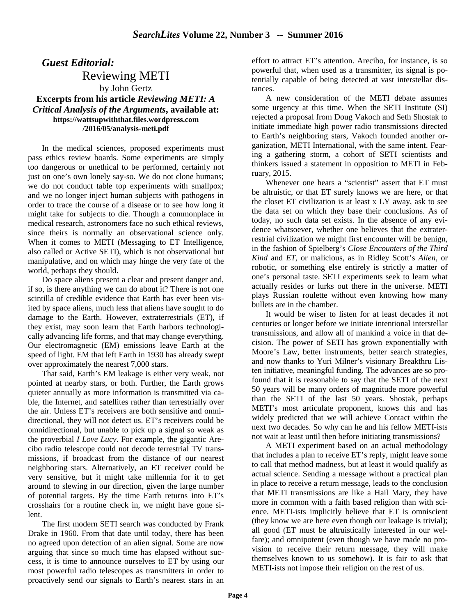## *Guest Editorial:*  Reviewing METI by John Gertz **Excerpts from his article** *Reviewing METI: A Critical Analysis of the Arguments***, available at: https://wattsupwiththat.files.wordpress.com /2016/05/analysis-meti.pdf**

In the medical sciences, proposed experiments must pass ethics review boards. Some experiments are simply too dangerous or unethical to be performed, certainly not just on one's own lonely say-so. We do not clone humans; we do not conduct table top experiments with smallpox; and we no longer inject human subjects with pathogens in order to trace the course of a disease or to see how long it might take for subjects to die. Though a commonplace in medical research, astronomers face no such ethical reviews, since theirs is normally an observational science only. When it comes to METI (Messaging to ET Intelligence, also called or Active SETI), which is not observational but manipulative, and on which may hinge the very fate of the world, perhaps they should.

Do space aliens present a clear and present danger and, if so, is there anything we can do about it? There is not one scintilla of credible evidence that Earth has ever been visited by space aliens, much less that aliens have sought to do damage to the Earth. However, extraterrestrials (ET), if they exist, may soon learn that Earth harbors technologically advancing life forms, and that may change everything. Our electromagnetic (EM) emissions leave Earth at the speed of light. EM that left Earth in 1930 has already swept over approximately the nearest 7,000 stars.

That said, Earth's EM leakage is either very weak, not pointed at nearby stars, or both. Further, the Earth grows quieter annually as more information is transmitted via cable, the Internet, and satellites rather than terrestrially over the air. Unless ET's receivers are both sensitive and omnidirectional, they will not detect us. ET's receivers could be omnidirectional, but unable to pick up a signal so weak as the proverbial *I Love Lucy*. For example, the gigantic Arecibo radio telescope could not decode terrestrial TV transmissions, if broadcast from the distance of our nearest neighboring stars. Alternatively, an ET receiver could be very sensitive, but it might take millennia for it to get around to slewing in our direction, given the large number of potential targets. By the time Earth returns into ET's crosshairs for a routine check in, we might have gone silent.

The first modern SETI search was conducted by Frank Drake in 1960. From that date until today, there has been no agreed upon detection of an alien signal. Some are now arguing that since so much time has elapsed without success, it is time to announce ourselves to ET by using our most powerful radio telescopes as transmitters in order to proactively send our signals to Earth's nearest stars in an

effort to attract ET's attention. Arecibo, for instance, is so powerful that, when used as a transmitter, its signal is potentially capable of being detected at vast interstellar distances.

A new consideration of the METI debate assumes some urgency at this time. When the SETI Institute (SI) rejected a proposal from Doug Vakoch and Seth Shostak to initiate immediate high power radio transmissions directed to Earth's neighboring stars, Vakoch founded another organization, METI International, with the same intent. Fearing a gathering storm, a cohort of SETI scientists and thinkers issued a statement in opposition to METI in February, 2015.

Whenever one hears a "scientist" assert that ET must be altruistic, or that ET surely knows we are here, or that the closet ET civilization is at least x LY away, ask to see the data set on which they base their conclusions. As of today, no such data set exists. In the absence of any evidence whatsoever, whether one believes that the extraterrestrial civilization we might first encounter will be benign, in the fashion of Spielberg's *Close Encounters of the Third Kind* and *ET*, or malicious, as in Ridley Scott's *Alien*, or robotic, or something else entirely is strictly a matter of one's personal taste. SETI experiments seek to learn what actually resides or lurks out there in the universe. METI plays Russian roulette without even knowing how many bullets are in the chamber.

It would be wiser to listen for at least decades if not centuries or longer before we initiate intentional interstellar transmissions, and allow all of mankind a voice in that decision. The power of SETI has grown exponentially with Moore's Law, better instruments, better search strategies, and now thanks to Yuri Milner's visionary Breakthru Listen initiative, meaningful funding. The advances are so profound that it is reasonable to say that the SETI of the next 50 years will be many orders of magnitude more powerful than the SETI of the last 50 years. Shostak, perhaps METI's most articulate proponent, knows this and has widely predicted that we will achieve Contact within the next two decades. So why can he and his fellow METI-ists not wait at least until then before initiating transmissions?

A METI experiment based on an actual methodology that includes a plan to receive ET's reply, might leave some to call that method madness, but at least it would qualify as actual science. Sending a message without a practical plan in place to receive a return message, leads to the conclusion that METI transmissions are like a Hail Mary, they have more in common with a faith based religion than with science. METI-ists implicitly believe that ET is omniscient (they know we are here even though our leakage is trivial); all good (ET must be altruistically interested in our welfare); and omnipotent (even though we have made no provision to receive their return message, they will make themselves known to us somehow). It is fair to ask that METI-ists not impose their religion on the rest of us.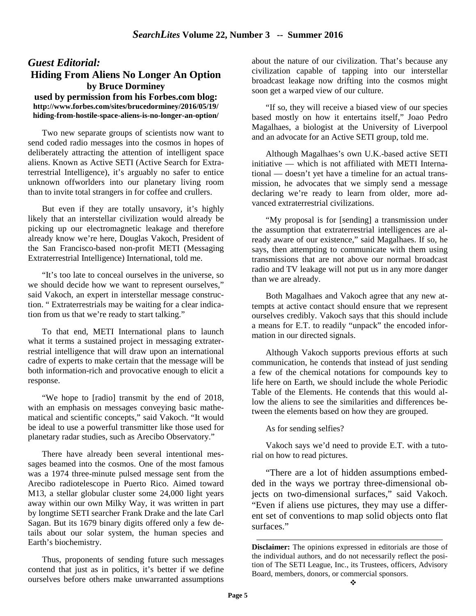## *Guest Editorial:*  **Hiding From Aliens No Longer An Option by Bruce Dorminey used by permission from his Forbes.com blog: http://www.forbes.com/sites/brucedorminey/2016/05/19/ hiding-from-hostile-space-aliens-is-no-longer-an-option/**

Two new separate groups of scientists now want to send coded radio messages into the cosmos in hopes of deliberately attracting the attention of intelligent space aliens. Known as Active SETI (Active Search for Extraterrestrial Intelligence), it's arguably no safer to entice unknown offworlders into our planetary living room than to invite total strangers in for coffee and crullers.

But even if they are totally unsavory, it's highly likely that an interstellar civilization would already be picking up our electromagnetic leakage and therefore already know we're here, Douglas Vakoch, President of the San Francisco-based non-profit METI (Messaging Extraterrestrial Intelligence) International, told me.

"It's too late to conceal ourselves in the universe, so we should decide how we want to represent ourselves," said Vakoch, an expert in interstellar message construction. " Extraterrestrials may be waiting for a clear indication from us that we're ready to start talking."

To that end, METI International plans to launch what it terms a sustained project in messaging extraterrestrial intelligence that will draw upon an international cadre of experts to make certain that the message will be both information-rich and provocative enough to elicit a response.

"We hope to [radio] transmit by the end of 2018, with an emphasis on messages conveying basic mathematical and scientific concepts," said Vakoch. "It would be ideal to use a powerful transmitter like those used for planetary radar studies, such as Arecibo Observatory."

There have already been several intentional messages beamed into the cosmos. One of the most famous was a 1974 three-minute pulsed message sent from the Arecibo radiotelescope in Puerto Rico. Aimed toward M13, a stellar globular cluster some 24,000 light years away within our own Milky Way, it was written in part by longtime SETI searcher Frank Drake and the late Carl Sagan. But its 1679 binary digits offered only a few details about our solar system, the human species and Earth's biochemistry.

Thus, proponents of sending future such messages contend that just as in politics, it's better if we define ourselves before others make unwarranted assumptions about the nature of our civilization. That's because any civilization capable of tapping into our interstellar broadcast leakage now drifting into the cosmos might soon get a warped view of our culture.

"If so, they will receive a biased view of our species based mostly on how it entertains itself," Joao Pedro Magalhaes, a biologist at the University of Liverpool and an advocate for an Active SETI group, told me.

Although Magalhaes's own U.K.-based active SETI initiative — which is not affiliated with METI International — doesn't yet have a timeline for an actual transmission, he advocates that we simply send a message declaring we're ready to learn from older, more advanced extraterrestrial civilizations.

"My proposal is for [sending] a transmission under the assumption that extraterrestrial intelligences are already aware of our existence," said Magalhaes. If so, he says, then attempting to communicate with them using transmissions that are not above our normal broadcast radio and TV leakage will not put us in any more danger than we are already.

Both Magalhaes and Vakoch agree that any new attempts at active contact should ensure that we represent ourselves credibly. Vakoch says that this should include a means for E.T. to readily "unpack" the encoded information in our directed signals.

Although Vakoch supports previous efforts at such communication, he contends that instead of just sending a few of the chemical notations for compounds key to life here on Earth, we should include the whole Periodic Table of the Elements. He contends that this would allow the aliens to see the similarities and differences between the elements based on how they are grouped.

As for sending selfies?

Vakoch says we'd need to provide E.T. with a tutorial on how to read pictures.

"There are a lot of hidden assumptions embedded in the ways we portray three-dimensional objects on two-dimensional surfaces," said Vakoch. "Even if aliens use pictures, they may use a different set of conventions to map solid objects onto flat surfaces."

**Disclaimer:** The opinions expressed in editorials are those of the individual authors, and do not necessarily reflect the position of The SETI League, Inc., its Trustees, officers, Advisory Board, members, donors, or commercial sponsors. **Service Contract Contract Contract Contract Contract Contract Contract Contract Contract Contract Contract Contract**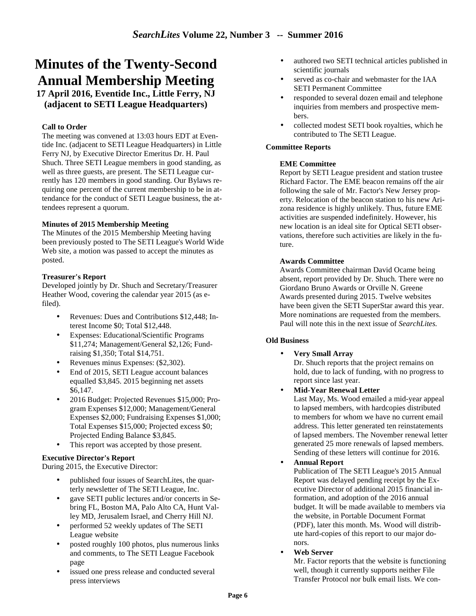# **Minutes of the Twenty-Second Annual Membership Meeting**

**17 April 2016, Eventide Inc., Little Ferry, NJ (adjacent to SETI League Headquarters)** 

## **Call to Order**

The meeting was convened at 13:03 hours EDT at Eventide Inc. (adjacent to SETI League Headquarters) in Little Ferry NJ, by Executive Director Emeritus Dr. H. Paul Shuch. Three SETI League members in good standing, as well as three guests, are present. The SETI League currently has 120 members in good standing. Our Bylaws requiring one percent of the current membership to be in attendance for the conduct of SETI League business, the attendees represent a quorum.

## **Minutes of 2015 Membership Meeting**

The Minutes of the 2015 Membership Meeting having been previously posted to The SETI League's World Wide Web site, a motion was passed to accept the minutes as posted.

## **Treasurer's Report**

Developed jointly by Dr. Shuch and Secretary/Treasurer Heather Wood, covering the calendar year 2015 (as efiled).

- Revenues: Dues and Contributions \$12,448; Interest Income \$0; Total \$12,448.
- Expenses: Educational/Scientific Programs \$11,274; Management/General \$2,126; Fundraising \$1,350; Total \$14,751.
- Revenues minus Expenses:  $(\$2,302)$ .
- End of 2015, SETI League account balances equalled \$3,845. 2015 beginning net assets \$6,147.
- 2016 Budget: Projected Revenues \$15,000; Program Expenses \$12,000; Management/General Expenses \$2,000; Fundraising Expenses \$1,000; Total Expenses \$15,000; Projected excess \$0; Projected Ending Balance \$3,845.
- This report was accepted by those present.

## **Executive Director's Report**

During 2015, the Executive Director:

- published four issues of SearchLites, the quarterly newsletter of The SETI League, Inc.
- gave SETI public lectures and/or concerts in Sebring FL, Boston MA, Palo Alto CA, Hunt Valley MD, Jerusalem Israel, and Cherry Hill NJ.
- performed 52 weekly updates of The SETI League website
- posted roughly 100 photos, plus numerous links and comments, to The SETI League Facebook page
- issued one press release and conducted several press interviews
- authored two SETI technical articles published in scientific journals
- served as co-chair and webmaster for the IAA SETI Permanent Committee
- responded to several dozen email and telephone inquiries from members and prospective members.
- collected modest SETI book royalties, which he contributed to The SETI League.

## **Committee Reports**

## **EME Committee**

Report by SETI League president and station trustee Richard Factor. The EME beacon remains off the air following the sale of Mr. Factor's New Jersey property. Relocation of the beacon station to his new Arizona residence is highly unlikely. Thus, future EME activities are suspended indefinitely. However, his new location is an ideal site for Optical SETI observations, therefore such activities are likely in the future.

## **Awards Committee**

Awards Committee chairman David Ocame being absent, report provided by Dr. Shuch. There were no Giordano Bruno Awards or Orville N. Greene Awards presented during 2015. Twelve websites have been given the SETI SuperStar award this year. More nominations are requested from the members. Paul will note this in the next issue of *SearchLites.*

## **Old Business**

- **Very Small Array** Dr. Shuch reports that the project remains on hold, due to lack of funding, with no progress to report since last year.
- **Mid-Year Renewal Letter**

Last May, Ms. Wood emailed a mid-year appeal to lapsed members, with hardcopies distributed to members for whom we have no current email address. This letter generated ten reinstatements of lapsed members. The November renewal letter generated 25 more renewals of lapsed members. Sending of these letters will continue for 2016.

## • **Annual Report**

Publication of The SETI League's 2015 Annual Report was delayed pending receipt by the Executive Director of additional 2015 financial information, and adoption of the 2016 annual budget. It will be made available to members via the website, in Portable Document Format (PDF), later this month. Ms. Wood will distribute hard-copies of this report to our major donors.

• **Web Server**

Mr. Factor reports that the website is functioning well, though it currently supports neither File Transfer Protocol nor bulk email lists. We con-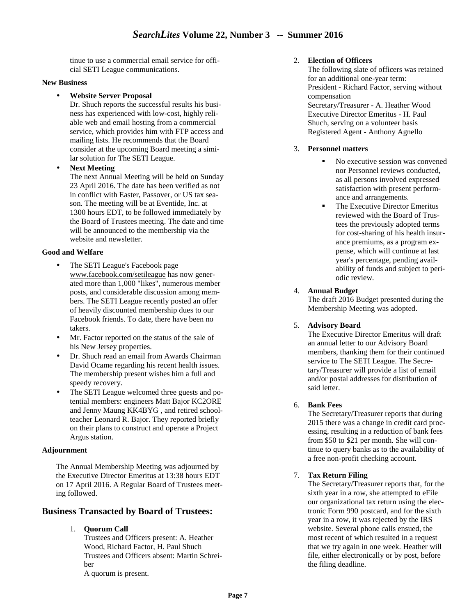tinue to use a commercial email service for official SETI League communications.

### **New Business**

• **Website Server Proposal**

Dr. Shuch reports the successful results his business has experienced with low-cost, highly reliable web and email hosting from a commercial service, which provides him with FTP access and mailing lists. He recommends that the Board consider at the upcoming Board meeting a similar solution for The SETI League.

• **Next Meeting** The next Annual Meeting will be held on Sunday 23 April 2016. The date has been verified as not in conflict with Easter, Passover, or US tax season. The meeting will be at Eventide, Inc. at 1300 hours EDT, to be followed immediately by the Board of Trustees meeting. The date and time will be announced to the membership via the website and newsletter.

## **Good and Welfare**

- The SETI League's Facebook page www.facebook.com/setileague has now generated more than 1,000 "likes", numerous member posts, and considerable discussion among members. The SETI League recently posted an offer of heavily discounted membership dues to our Facebook friends. To date, there have been no takers.
- Mr. Factor reported on the status of the sale of his New Jersey properties.
- Dr. Shuch read an email from Awards Chairman David Ocame regarding his recent health issues. The membership present wishes him a full and speedy recovery.
- The SETI League welcomed three guests and potential members: engineers Matt Bajor KC2ORE and Jenny Maung KK4BYG , and retired schoolteacher Leonard R. Bajor. They reported briefly on their plans to construct and operate a Project Argus station.

### **Adjournment**

The Annual Membership Meeting was adjourned by the Executive Director Emeritus at 13:38 hours EDT on 17 April 2016. A Regular Board of Trustees meeting followed.

## **Business Transacted by Board of Trustees:**

## 1. **Quorum Call**

Trustees and Officers present: A. Heather Wood, Richard Factor, H. Paul Shuch Trustees and Officers absent: Martin Schreiber A quorum is present.

### 2. **Election of Officers**

The following slate of officers was retained for an additional one-year term: President - Richard Factor, serving without compensation Secretary/Treasurer - A. Heather Wood Executive Director Emeritus - H. Paul Shuch, serving on a volunteer basis Registered Agent - Anthony Agnello

## 3. **Personnel matters**

- - No executive session was convened nor Personnel reviews conducted, as all persons involved expressed satisfaction with present performance and arrangements.
- - The Executive Director Emeritus reviewed with the Board of Trustees the previously adopted terms for cost-sharing of his health insurance premiums, as a program expense, which will continue at last year's percentage, pending availability of funds and subject to periodic review.
- 4. **Annual Budget**

The draft 2016 Budget presented during the Membership Meeting was adopted.

## 5. **Advisory Board**

The Executive Director Emeritus will draft an annual letter to our Advisory Board members, thanking them for their continued service to The SETI League. The Secretary/Treasurer will provide a list of email and/or postal addresses for distribution of said letter.

## 6. **Bank Fees**

The Secretary/Treasurer reports that during 2015 there was a change in credit card processing, resulting in a reduction of bank fees from \$50 to \$21 per month. She will continue to query banks as to the availability of a free non-profit checking account.

## 7. **Tax Return Filing**

The Secretary/Treasurer reports that, for the sixth year in a row, she attempted to eFile our organizational tax return using the electronic Form 990 postcard, and for the sixth year in a row, it was rejected by the IRS website. Several phone calls ensued, the most recent of which resulted in a request that we try again in one week. Heather will file, either electronically or by post, before the filing deadline.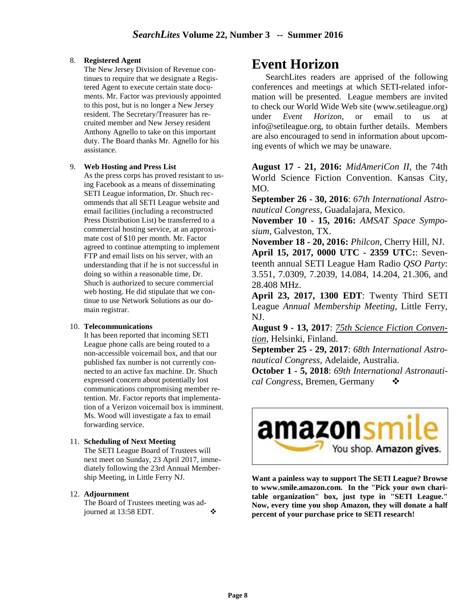### 8. **Registered Agent**

The New Jersey Division of Revenue continues to require that we designate a Registered Agent to execute certain state documents. Mr. Factor was previously appointed to this post, but is no longer a New Jersey resident. The Secretary/Treasurer has recruited member and New Jersey resident Anthony Agnello to take on this important duty. The Board thanks Mr. Agnello for his assistance.

### 9. **Web Hosting and Press List**

As the press corps has proved resistant to using Facebook as a means of disseminating SETI League information, Dr. Shuch recommends that all SETI League website and email facilities (including a reconstructed Press Distribution List) be transferred to a commercial hosting service, at an approximate cost of \$10 per month. Mr. Factor agreed to continue attempting to implement FTP and email lists on his server, with an understanding that if he is not successful in doing so within a reasonable time, Dr. Shuch is authorized to secure commercial web hosting. He did stipulate that we continue to use Network Solutions as our domain registrar.

#### 10. **Telecommunications**

It has been reported that incoming SETI League phone calls are being routed to a non-accessible voicemail box, and that our published fax number is not currently connected to an active fax machine. Dr. Shuch expressed concern about potentially lost communications compromising member retention. Mr. Factor reports that implementation of a Verizon voicemail box is imminent. Ms. Wood will investigate a fax to email forwarding service.

#### 11. **Scheduling of Next Meeting**

The SETI League Board of Trustees will next meet on Sunday, 23 April 2017, immediately following the 23rd Annual Membership Meeting, in Little Ferry NJ.

#### 12. **Adjournment**

The Board of Trustees meeting was adjourned at 13:58 EDT.

# **Event Horizon**

SearchLites readers are apprised of the following conferences and meetings at which SETI-related information will be presented. League members are invited to check our World Wide Web site (www.setileague.org) under *Event Horizon*, or email to us at info@setileague.org, to obtain further details. Members are also encouraged to send in information about upcoming events of which we may be unaware.

**August 17 - 21, 2016:** *MidAmeriCon II*, the 74th World Science Fiction Convention. Kansas City, MO.

**September 26 - 30, 2016**: *67th International Astronautical Congress*, Guadalajara, Mexico.

**November 10 - 15, 2016:** *AMSAT Space Symposium,* Galveston, TX.

**November 18 - 20, 2016:** *Philcon*, Cherry Hill, NJ. **April 15, 2017, 0000 UTC - 2359 UTC:**: Seventeenth annual SETI League Ham Radio *QSO Party*: 3.551, 7.0309, 7.2039, 14.084, 14.204, 21.306, and 28.408 MHz.

**April 23, 2017, 1300 EDT**: Twenty Third SETI League *Annual Membership Meeting*, Little Ferry, NJ.

**August 9 - 13, 2017**: *75th Science Fiction Convention*, Helsinki, Finland.

**September 25 - 29, 2017**: *68th International Astronautical Congress*, Adelaide, Australia.

**October 1 - 5, 2018**: *69th International Astronautical Congress*, Bremen, Germany



**Want a painless way to support The SETI League? Browse to www.smile.amazon.com. In the "Pick your own charitable organization" box, just type in "SETI League." Now, every time you shop Amazon, they will donate a half percent of your purchase price to SETI research!**